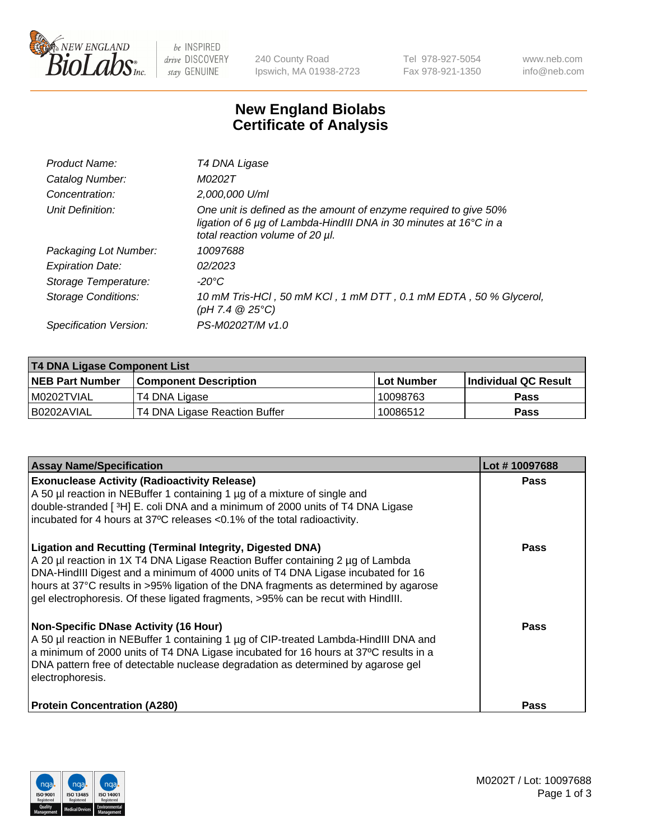

 $be$  INSPIRED drive DISCOVERY stay GENUINE

240 County Road Ipswich, MA 01938-2723 Tel 978-927-5054 Fax 978-921-1350 www.neb.com info@neb.com

## **New England Biolabs Certificate of Analysis**

| Product Name:              | T4 DNA Ligase                                                                                                                                                            |
|----------------------------|--------------------------------------------------------------------------------------------------------------------------------------------------------------------------|
| Catalog Number:            | M0202T                                                                                                                                                                   |
| Concentration:             | 2,000,000 U/ml                                                                                                                                                           |
| Unit Definition:           | One unit is defined as the amount of enzyme required to give 50%<br>ligation of 6 µg of Lambda-HindIII DNA in 30 minutes at 16°C in a<br>total reaction volume of 20 µl. |
| Packaging Lot Number:      | 10097688                                                                                                                                                                 |
| <b>Expiration Date:</b>    | 02/2023                                                                                                                                                                  |
| Storage Temperature:       | $-20^{\circ}$ C                                                                                                                                                          |
| <b>Storage Conditions:</b> | 10 mM Tris-HCl, 50 mM KCl, 1 mM DTT, 0.1 mM EDTA, 50 % Glycerol,<br>(pH 7.4 $@25°C$ )                                                                                    |
| Specification Version:     | PS-M0202T/M v1.0                                                                                                                                                         |

| <b>T4 DNA Ligase Component List</b> |                               |            |                      |  |
|-------------------------------------|-------------------------------|------------|----------------------|--|
| <b>NEB Part Number</b>              | <b>Component Description</b>  | Lot Number | Individual QC Result |  |
| IM0202TVIAL                         | T4 DNA Ligase                 | 10098763   | <b>Pass</b>          |  |
| B0202AVIAL                          | T4 DNA Ligase Reaction Buffer | 10086512   | <b>Pass</b>          |  |

| <b>Assay Name/Specification</b>                                                                                                                                                                                                                                                                                                                                                                                    | Lot #10097688 |
|--------------------------------------------------------------------------------------------------------------------------------------------------------------------------------------------------------------------------------------------------------------------------------------------------------------------------------------------------------------------------------------------------------------------|---------------|
| <b>Exonuclease Activity (Radioactivity Release)</b><br>A 50 µl reaction in NEBuffer 1 containing 1 µg of a mixture of single and<br>double-stranded [3H] E. coli DNA and a minimum of 2000 units of T4 DNA Ligase<br>incubated for 4 hours at 37°C releases <0.1% of the total radioactivity.                                                                                                                      | <b>Pass</b>   |
| <b>Ligation and Recutting (Terminal Integrity, Digested DNA)</b><br>A 20 µl reaction in 1X T4 DNA Ligase Reaction Buffer containing 2 µg of Lambda<br>DNA-HindIII Digest and a minimum of 4000 units of T4 DNA Ligase incubated for 16<br>hours at 37°C results in >95% ligation of the DNA fragments as determined by agarose<br>gel electrophoresis. Of these ligated fragments, >95% can be recut with HindIII. | <b>Pass</b>   |
| <b>Non-Specific DNase Activity (16 Hour)</b><br>A 50 µl reaction in NEBuffer 1 containing 1 µg of CIP-treated Lambda-HindIII DNA and<br>a minimum of 2000 units of T4 DNA Ligase incubated for 16 hours at 37°C results in a<br>DNA pattern free of detectable nuclease degradation as determined by agarose gel<br>electrophoresis.                                                                               | Pass          |
| <b>Protein Concentration (A280)</b>                                                                                                                                                                                                                                                                                                                                                                                | Pass          |

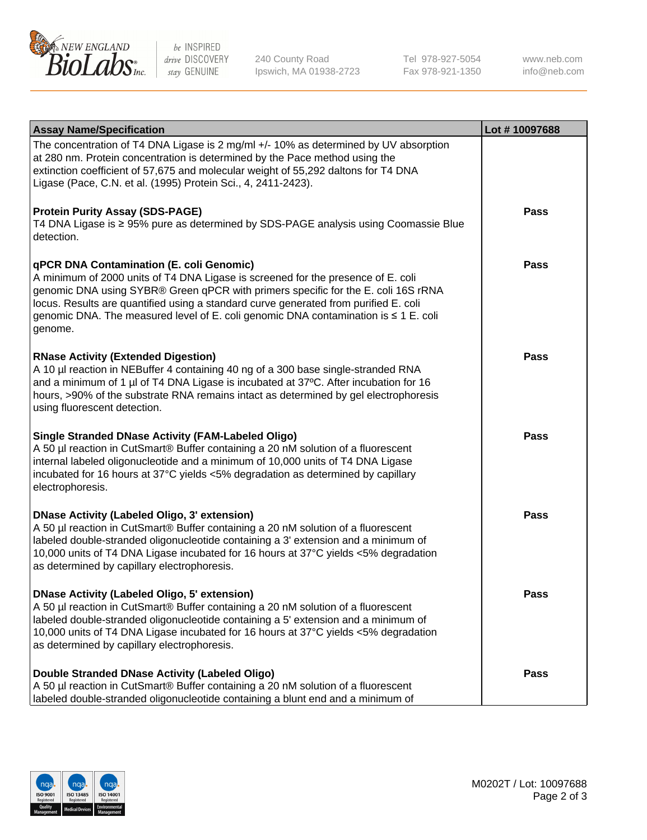

be INSPIRED drive DISCOVERY stay GENUINE

240 County Road Ipswich, MA 01938-2723 Tel 978-927-5054 Fax 978-921-1350

www.neb.com info@neb.com

| <b>Assay Name/Specification</b>                                                                                                                                                                                                                                                                                                                                                                             | Lot #10097688 |
|-------------------------------------------------------------------------------------------------------------------------------------------------------------------------------------------------------------------------------------------------------------------------------------------------------------------------------------------------------------------------------------------------------------|---------------|
| The concentration of T4 DNA Ligase is 2 mg/ml +/- 10% as determined by UV absorption<br>at 280 nm. Protein concentration is determined by the Pace method using the<br>extinction coefficient of 57,675 and molecular weight of 55,292 daltons for T4 DNA<br>Ligase (Pace, C.N. et al. (1995) Protein Sci., 4, 2411-2423).                                                                                  |               |
| <b>Protein Purity Assay (SDS-PAGE)</b><br>T4 DNA Ligase is ≥ 95% pure as determined by SDS-PAGE analysis using Coomassie Blue<br>detection.                                                                                                                                                                                                                                                                 | <b>Pass</b>   |
| qPCR DNA Contamination (E. coli Genomic)<br>A minimum of 2000 units of T4 DNA Ligase is screened for the presence of E. coli<br>genomic DNA using SYBR® Green qPCR with primers specific for the E. coli 16S rRNA<br>locus. Results are quantified using a standard curve generated from purified E. coli<br>genomic DNA. The measured level of E. coli genomic DNA contamination is ≤ 1 E. coli<br>genome. | <b>Pass</b>   |
| <b>RNase Activity (Extended Digestion)</b><br>A 10 µl reaction in NEBuffer 4 containing 40 ng of a 300 base single-stranded RNA<br>and a minimum of 1 µl of T4 DNA Ligase is incubated at 37°C. After incubation for 16<br>hours, >90% of the substrate RNA remains intact as determined by gel electrophoresis<br>using fluorescent detection.                                                             | Pass          |
| <b>Single Stranded DNase Activity (FAM-Labeled Oligo)</b><br>A 50 µl reaction in CutSmart® Buffer containing a 20 nM solution of a fluorescent<br>internal labeled oligonucleotide and a minimum of 10,000 units of T4 DNA Ligase<br>incubated for 16 hours at 37°C yields <5% degradation as determined by capillary<br>electrophoresis.                                                                   | <b>Pass</b>   |
| <b>DNase Activity (Labeled Oligo, 3' extension)</b><br>A 50 µl reaction in CutSmart® Buffer containing a 20 nM solution of a fluorescent<br>labeled double-stranded oligonucleotide containing a 3' extension and a minimum of<br>10,000 units of T4 DNA Ligase incubated for 16 hours at 37°C yields <5% degradation<br>as determined by capillary electrophoresis.                                        | <b>Pass</b>   |
| <b>DNase Activity (Labeled Oligo, 5' extension)</b><br>A 50 µl reaction in CutSmart® Buffer containing a 20 nM solution of a fluorescent<br>labeled double-stranded oligonucleotide containing a 5' extension and a minimum of<br>10,000 units of T4 DNA Ligase incubated for 16 hours at 37°C yields <5% degradation<br>as determined by capillary electrophoresis.                                        | <b>Pass</b>   |
| Double Stranded DNase Activity (Labeled Oligo)<br>A 50 µl reaction in CutSmart® Buffer containing a 20 nM solution of a fluorescent<br>labeled double-stranded oligonucleotide containing a blunt end and a minimum of                                                                                                                                                                                      | Pass          |